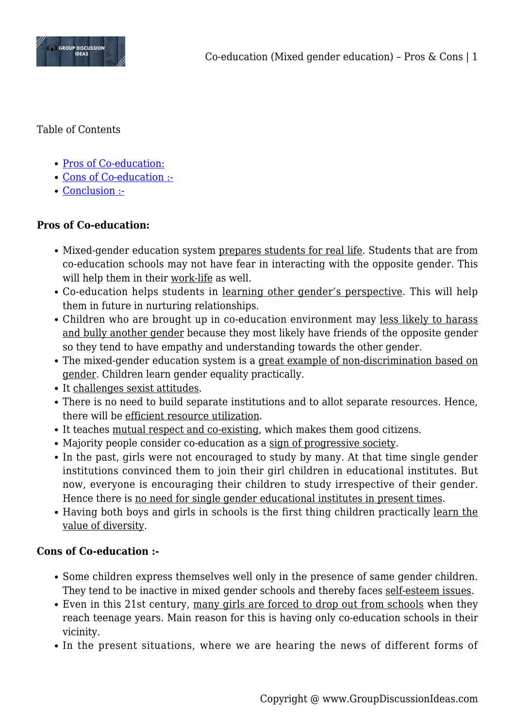

Table of Contents

- [Pros of Co-education:](#page--1-0)
- [Cons of Co-education :-](#page--1-0)
- [Conclusion :-](#page--1-0)

## **Pros of Co-education:**

- Mixed-gender education system prepares students for real life. Students that are from co-education schools may not have fear in interacting with the opposite gender. This will help them in their work-life as well.
- Co-education helps students in <u>learning other gender's perspective</u>. This will help them in future in nurturing relationships.
- Children who are brought up in co-education environment may less likely to harass and bully another gender because they most likely have friends of the opposite gender so they tend to have empathy and understanding towards the other gender.
- The mixed-gender education system is a great example of non-discrimination based on gender. Children learn gender equality practically.
- It challenges sexist attitudes.
- There is no need to build separate institutions and to allot separate resources. Hence, there will be efficient resource utilization.
- It teaches mutual respect and co-existing, which makes them good citizens.
- Majority people consider co-education as a sign of progressive society.
- In the past, girls were not encouraged to study by many. At that time single gender institutions convinced them to join their girl children in educational institutes. But now, everyone is encouraging their children to study irrespective of their gender. Hence there is no need for single gender educational institutes in present times.
- Having both boys and girls in schools is the first thing children practically learn the value of diversity.

## **Cons of Co-education :-**

- Some children express themselves well only in the presence of same gender children. They tend to be inactive in mixed gender schools and thereby faces self-esteem issues.
- Even in this 21st century, many girls are forced to drop out from schools when they reach teenage years. Main reason for this is having only co-education schools in their vicinity.
- In the present situations, where we are hearing the news of different forms of